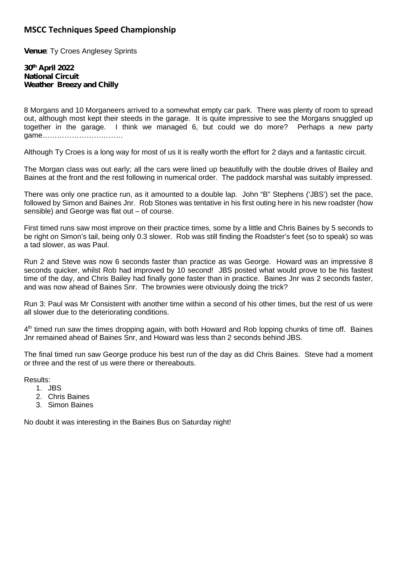## **MSCC Techniques Speed Championship**

**Venue: Ty Croes Anglesey Sprints** 

## **30th April 2022 National Circuit Weather Breezy and Chilly**

8 Morgans and 10 Morganeers arrived to a somewhat empty car park. There was plenty of room to spread out, although most kept their steeds in the garage. It is quite impressive to see the Morgans snuggled up together in the garage. I think we managed 6, but could we do more? Perhaps a new party game……………………………

Although Ty Croes is a long way for most of us it is really worth the effort for 2 days and a fantastic circuit.

The Morgan class was out early; all the cars were lined up beautifully with the double drives of Bailey and Baines at the front and the rest following in numerical order. The paddock marshal was suitably impressed.

There was only one practice run, as it amounted to a double lap. John "B" Stephens ('JBS') set the pace, followed by Simon and Baines Jnr. Rob Stones was tentative in his first outing here in his new roadster (how sensible) and George was flat out – of course.

First timed runs saw most improve on their practice times, some by a little and Chris Baines by 5 seconds to be right on Simon's tail, being only 0.3 slower. Rob was still finding the Roadster's feet (so to speak) so was a tad slower, as was Paul.

Run 2 and Steve was now 6 seconds faster than practice as was George. Howard was an impressive 8 seconds quicker, whilst Rob had improved by 10 second! JBS posted what would prove to be his fastest time of the day, and Chris Bailey had finally gone faster than in practice. Baines Jnr was 2 seconds faster, and was now ahead of Baines Snr. The brownies were obviously doing the trick?

Run 3: Paul was Mr Consistent with another time within a second of his other times, but the rest of us were all slower due to the deteriorating conditions.

4<sup>th</sup> timed run saw the times dropping again, with both Howard and Rob lopping chunks of time off. Baines Jnr remained ahead of Baines Snr, and Howard was less than 2 seconds behind JBS.

The final timed run saw George produce his best run of the day as did Chris Baines. Steve had a moment or three and the rest of us were there or thereabouts.

Results:

- 1. JBS
- 2. Chris Baines
- 3. Simon Baines

No doubt it was interesting in the Baines Bus on Saturday night!